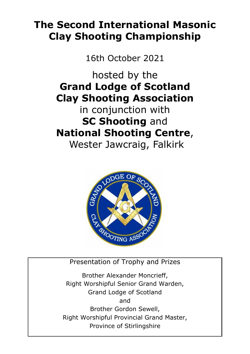# **The Second International Masonic Clay Shooting Championship**

16th October 2021

hosted by the **Grand Lodge of Scotland Clay Shooting Association**

in conjunction with **SC Shooting** and **National Shooting Centre**,

Wester Jawcraig, Falkirk



Presentation of Trophy and Prizes

Brother Alexander Moncrieff, Right Worshipful Senior Grand Warden, Grand Lodge of Scotland and Brother Gordon Sewell, Right Worshipful Provincial Grand Master, Province of Stirlingshire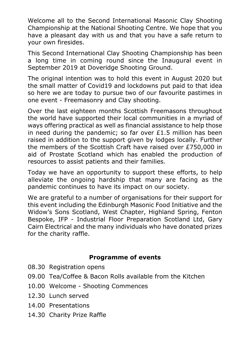Welcome all to the Second International Masonic Clay Shooting Championship at the National Shooting Centre. We hope that you have a pleasant day with us and that you have a safe return to your own firesides.

This Second International Clay Shooting Championship has been a long time in coming round since the Inaugural event in September 2019 at Doveridge Shooting Ground.

The original intention was to hold this event in August 2020 but the small matter of Covid19 and lockdowns put paid to that idea so here we are today to pursue two of our favourite pastimes in one event - Freemasonry and Clay shooting.

Over the last eighteen months Scottish Freemasons throughout the world have supported their local communities in a myriad of ways offering practical as well as financial assistance to help those in need during the pandemic; so far over  $£1.5$  million has been raised in addition to the support given by lodges locally. Further the members of the Scottish Craft have raised over £750,000 in aid of Prostate Scotland which has enabled the production of resources to assist patients and their families.

Today we have an opportunity to support these efforts, to help alleviate the ongoing hardship that many are facing as the pandemic continues to have its impact on our society.

We are grateful to a number of organisations for their support for this event including the Edinburgh Masonic Food Initiative and the Widow's Sons Scotland, West Chapter, Highland Spring, Fenton Bespoke, IFP - Industrial Floor Preparation Scotland Ltd, Gary Cairn Electrical and the many individuals who have donated prizes for the charity raffle.

#### **Programme of events**

- 08.30 Registration opens
- 09.00 Tea/Coffee & Bacon Rolls available from the Kitchen
- 10.00 Welcome Shooting Commences
- 12.30 Lunch served
- 14.00 Presentations
- 14.30 Charity Prize Raffle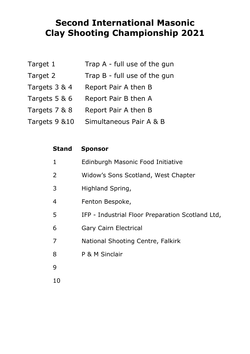## **Second International Masonic Clay Shooting Championship 2021**

| Target 1      | Trap A - full use of the gun |
|---------------|------------------------------|
| Target 2      | Trap B - full use of the gun |
| Targets 3 & 4 | Report Pair A then B         |
| Targets 5 & 6 | Report Pair B then A         |
| Targets 7 & 8 | Report Pair A then B         |
| Targets 9 &10 | Simultaneous Pair A & B      |
|               |                              |

| Stand | <b>Sponsor</b>                                   |
|-------|--------------------------------------------------|
| 1     | Edinburgh Masonic Food Initiative                |
| 2     | Widow's Sons Scotland, West Chapter              |
| 3     | Highland Spring,                                 |
| 4     | Fenton Bespoke,                                  |
| 5     | IFP - Industrial Floor Preparation Scotland Ltd, |
| 6     | Gary Cairn Electrical                            |
| 7     | National Shooting Centre, Falkirk                |
| 8     | P & M Sinclair                                   |
| 9     |                                                  |
| 10    |                                                  |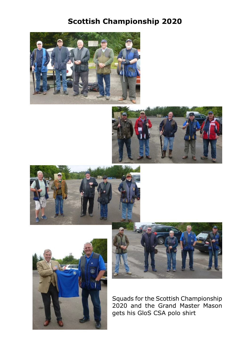### **Scottish Championship 2020**











Squads for the Scottish Championship 2020 and the Grand Master Mason gets his GloS CSA polo shirt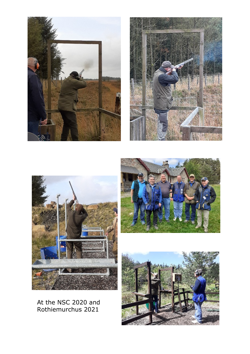









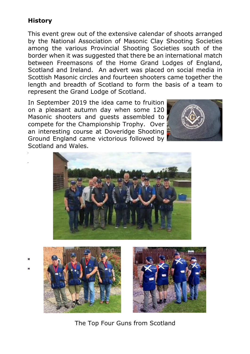### **History**

This event grew out of the extensive calendar of shoots arranged by the National Association of Masonic Clay Shooting Societies among the various Provincial Shooting Societies south of the border when it was suggested that there be an international match between Freemasons of the Home Grand Lodges of England, Scotland and Ireland. An advert was placed on social media in Scottish Masonic circles and fourteen shooters came together the length and breadth of Scotland to form the basis of a team to represent the Grand Lodge of Scotland.

In September 2019 the idea came to fruition on a pleasant autumn day when some 120 Masonic shooters and guests assembled to compete for the Championship Trophy. Over an interesting course at Doveridge Shooting Ground England came victorious followed by Scotland and Wales.









The Top Four Guns from Scotland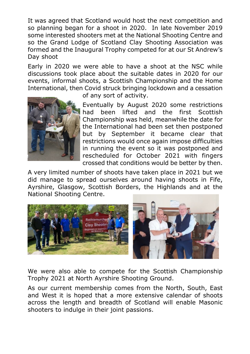It was agreed that Scotland would host the next competition and so planning began for a shoot in 2020. In late November 2019 some interested shooters met at the National Shooting Centre and so the Grand Lodge of Scotland Clay Shooting Association was formed and the Inaugural Trophy competed for at our St Andrew's Day shoot

Early in 2020 we were able to have a shoot at the NSC while discussions took place about the suitable dates in 2020 for our events, informal shoots, a Scottish Championship and the Home International, then Covid struck bringing lockdown and a cessation



of any sort of activity.

Eventually by August 2020 some restrictions had been lifted and the first Scottish Championship was held, meanwhile the date for the International had been set then postponed but by September it became clear that restrictions would once again impose difficulties in running the event so it was postponed and rescheduled for October 2021 with fingers crossed that conditions would be better by then.

A very limited number of shoots have taken place in 2021 but we did manage to spread ourselves around having shoots in Fife, Ayrshire, Glasgow, Scottish Borders, the Highlands and at the National Shooting Centre.



We were also able to compete for the Scottish Championship Trophy 2021 at North Ayrshire Shooting Ground.

As our current membership comes from the North, South, East and West it is hoped that a more extensive calendar of shoots across the length and breadth of Scotland will enable Masonic shooters to indulge in their joint passions.